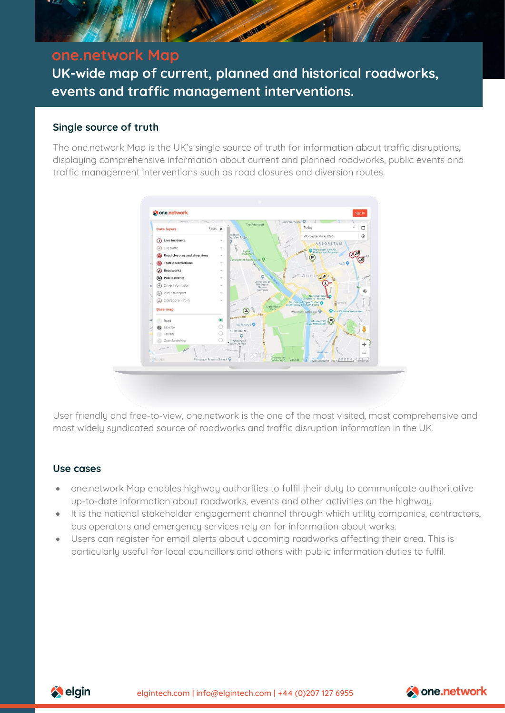

# **one.network Map**

**UK-wide map of current, planned and historical roadworks, events and traffic management interventions.**

# **Single source of truth**

The one.network Map is the UK's single source of truth for information about traffic disruptions, displaying comprehensive information about current and planned roadworks, public events and traffic management interventions such as road closures and diversion routes.



User friendly and free-to-view, one.network is the one of the most visited, most comprehensive and most widely syndicated source of roadworks and traffic disruption information in the UK.

### **Use cases**

- one.network Map enables highway authorities to fulfil their duty to communicate authoritative up-to-date information about roadworks, events and other activities on the highway.
- It is the national stakeholder engagement channel through which utility companies, contractors, bus operators and emergency services rely on for information about works.
- Users can register for email alerts about upcoming roadworks affecting their area. This is particularly useful for local councillors and others with public information duties to fulfil.